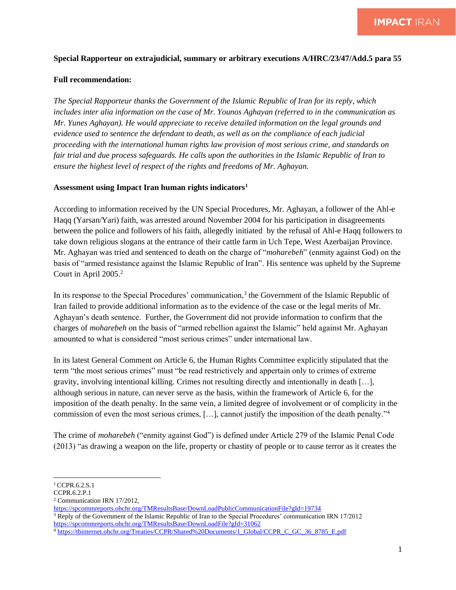## **Special Rapporteur on extrajudicial, summary or arbitrary executions A/HRC/23/47/Add.5 para 55**

## **Full recommendation:**

*The Special Rapporteur thanks the Government of the Islamic Republic of Iran for its reply, which includes inter alia information on the case of Mr. Younos Aghayan (referred to in the communication as Mr. Yunes Aghayan). He would appreciate to receive detailed information on the legal grounds and evidence used to sentence the defendant to death, as well as on the compliance of each judicial proceeding with the international human rights law provision of most serious crime, and standards on fair trial and due process safeguards. He calls upon the authorities in the Islamic Republic of Iran to ensure the highest level of respect of the rights and freedoms of Mr. Aghayan.* 

## **Assessment using Impact Iran human rights indicators<sup>1</sup>**

According to information received by the UN Special Procedures, Mr. Aghayan, a follower of the Ahl-e Haqq (Yarsan/Yari) faith, was arrested around November 2004 for his participation in disagreements between the police and followers of his faith, allegedly initiated by the refusal of Ahl-e Haqq followers to take down religious slogans at the entrance of their cattle farm in Uch Tepe, West Azerbaijan Province. Mr. Aghayan was tried and sentenced to death on the charge of "*moharebeh*" (enmity against God) on the basis of "armed resistance against the Islamic Republic of Iran". His sentence was upheld by the Supreme Court in April  $2005.<sup>2</sup>$ 

In its response to the Special Procedures' communication,<sup>3</sup> the Government of the Islamic Republic of Iran failed to provide additional information as to the evidence of the case or the legal merits of Mr. Aghayan's death sentence. Further, the Government did not provide information to confirm that the charges of *moharebeh* on the basis of "armed rebellion against the Islamic" held against Mr. Aghayan amounted to what is considered "most serious crimes" under international law.

In its latest General Comment on Article 6, the Human Rights Committee explicitly stipulated that the term "the most serious crimes" must "be read restrictively and appertain only to crimes of extreme gravity, involving intentional killing. Crimes not resulting directly and intentionally in death […], although serious in nature, can never serve as the basis, within the framework of Article 6, for the imposition of the death penalty. In the same vein, a limited degree of involvement or of complicity in the commission of even the most serious crimes, […], cannot justify the imposition of the death penalty."<sup>4</sup>

The crime of *moharebeh* ("enmity against God") is defined under Article 279 of the Islamic Penal Code (2013) "as drawing a weapon on the life, property or chastity of people or to cause terror as it creates the

<sup>&</sup>lt;sup>1</sup> CCPR.6.2.S.1

CCPR.6.2.P.1

<sup>2</sup> Communication IRN 17/2012,

<https://spcommreports.ohchr.org/TMResultsBase/DownLoadPublicCommunicationFile?gId=19734> <sup>3</sup> Reply of the Government of the Islamic Republic of Iran to the Special Procedures' communication IRN 17/2012 <https://spcommreports.ohchr.org/TMResultsBase/DownLoadFile?gId=31062>

<sup>4</sup> [https://tbinternet.ohchr.org/Treaties/CCPR/Shared%20Documents/1\\_Global/CCPR\\_C\\_GC\\_36\\_8785\\_E.pdf](https://tbinternet.ohchr.org/Treaties/CCPR/Shared%20Documents/1_Global/CCPR_C_GC_36_8785_E.pdf)